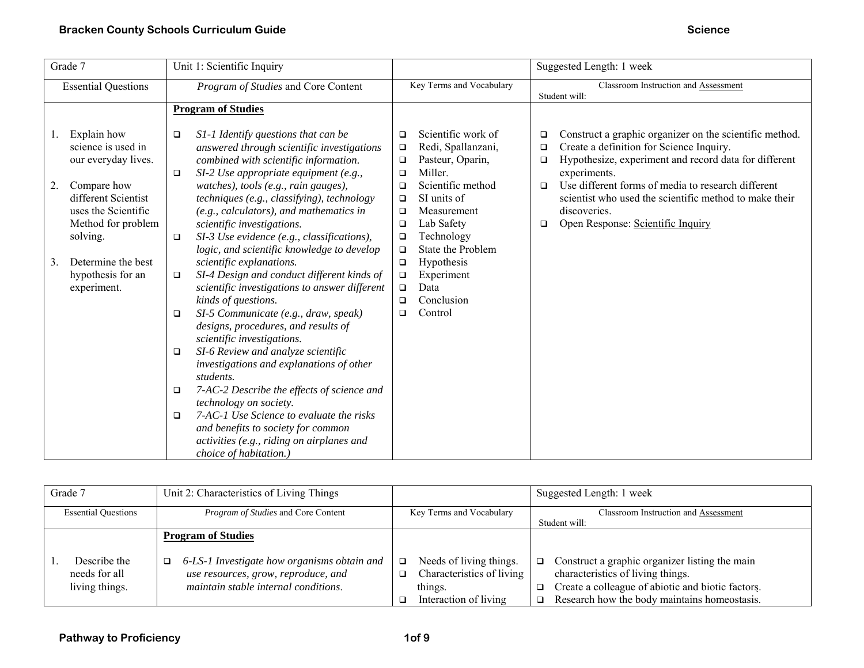| Grade 7                                                                                                                                           | Unit 1: Scientific Inquiry                                                                                                                                                                                                                                                                                                                               |                                                                                                                                                                                                                          | Suggested Length: 1 week                                                                                                                                                                                                                                                                                                                                                                       |
|---------------------------------------------------------------------------------------------------------------------------------------------------|----------------------------------------------------------------------------------------------------------------------------------------------------------------------------------------------------------------------------------------------------------------------------------------------------------------------------------------------------------|--------------------------------------------------------------------------------------------------------------------------------------------------------------------------------------------------------------------------|------------------------------------------------------------------------------------------------------------------------------------------------------------------------------------------------------------------------------------------------------------------------------------------------------------------------------------------------------------------------------------------------|
| <b>Essential Questions</b>                                                                                                                        | Program of Studies and Core Content                                                                                                                                                                                                                                                                                                                      | Key Terms and Vocabulary                                                                                                                                                                                                 | Classroom Instruction and Assessment<br>Student will:                                                                                                                                                                                                                                                                                                                                          |
|                                                                                                                                                   | <b>Program of Studies</b>                                                                                                                                                                                                                                                                                                                                |                                                                                                                                                                                                                          |                                                                                                                                                                                                                                                                                                                                                                                                |
| Explain how<br>science is used in<br>our everyday lives.<br>2.<br>Compare how<br>different Scientist<br>uses the Scientific<br>Method for problem | S1-1 Identify questions that can be<br>$\Box$<br>answered through scientific investigations<br>combined with scientific information.<br>$SI-2$ Use appropriate equipment (e.g.,<br>$\Box$<br>watches), tools (e.g., rain gauges),<br>techniques (e.g., classifying), technology<br>(e.g., calculators), and mathematics in<br>scientific investigations. | Scientific work of<br>$\Box$<br>Redi, Spallanzani,<br>$\Box$<br>Pasteur, Oparin,<br>$\Box$<br>Miller.<br>$\Box$<br>Scientific method<br>$\Box$<br>SI units of<br>$\Box$<br>Measurement<br>$\Box$<br>Lab Safety<br>$\Box$ | Construct a graphic organizer on the scientific method.<br>$\Box$<br>Create a definition for Science Inquiry.<br>$\Box$<br>Hypothesize, experiment and record data for different<br>$\Box$<br>experiments.<br>Use different forms of media to research different<br>$\Box$<br>scientist who used the scientific method to make their<br>discoveries.<br>Open Response: Scientific Inquiry<br>□ |
| solving.<br>Determine the best<br>3.                                                                                                              | SI-3 Use evidence (e.g., classifications),<br>$\Box$<br>logic, and scientific knowledge to develop<br>scientific explanations.                                                                                                                                                                                                                           | Technology<br>$\Box$<br>State the Problem<br>$\Box$<br>Hypothesis<br>$\Box$                                                                                                                                              |                                                                                                                                                                                                                                                                                                                                                                                                |
| hypothesis for an<br>experiment.                                                                                                                  | SI-4 Design and conduct different kinds of<br>$\Box$<br>scientific investigations to answer different<br>kinds of questions.                                                                                                                                                                                                                             | Experiment<br>$\Box$<br>Data<br>$\Box$<br>Conclusion<br>$\Box$                                                                                                                                                           |                                                                                                                                                                                                                                                                                                                                                                                                |
|                                                                                                                                                   | SI-5 Communicate (e.g., draw, speak)<br>$\Box$<br>designs, procedures, and results of<br>scientific investigations.                                                                                                                                                                                                                                      | Control<br>$\Box$                                                                                                                                                                                                        |                                                                                                                                                                                                                                                                                                                                                                                                |
|                                                                                                                                                   | SI-6 Review and analyze scientific<br>$\Box$<br>investigations and explanations of other<br>students.                                                                                                                                                                                                                                                    |                                                                                                                                                                                                                          |                                                                                                                                                                                                                                                                                                                                                                                                |
|                                                                                                                                                   | 7-AC-2 Describe the effects of science and<br>$\Box$<br>technology on society.<br>7-AC-1 Use Science to evaluate the risks<br>$\Box$                                                                                                                                                                                                                     |                                                                                                                                                                                                                          |                                                                                                                                                                                                                                                                                                                                                                                                |
|                                                                                                                                                   | and benefits to society for common<br>activities (e.g., riding on airplanes and<br>choice of habitation.)                                                                                                                                                                                                                                                |                                                                                                                                                                                                                          |                                                                                                                                                                                                                                                                                                                                                                                                |

| Grade 7                                         | Unit 2: Characteristics of Living Things                                                                                                                     |                                                                                                      | Suggested Length: 1 week                                                                                                                                                                      |
|-------------------------------------------------|--------------------------------------------------------------------------------------------------------------------------------------------------------------|------------------------------------------------------------------------------------------------------|-----------------------------------------------------------------------------------------------------------------------------------------------------------------------------------------------|
| <b>Essential Questions</b>                      | <i>Program of Studies</i> and Core Content                                                                                                                   | Key Terms and Vocabulary                                                                             | Classroom Instruction and Assessment<br>Student will:                                                                                                                                         |
| Describe the<br>needs for all<br>living things. | <b>Program of Studies</b><br>6-LS-1 Investigate how organisms obtain and<br>□<br>use resources, grow, reproduce, and<br>maintain stable internal conditions. | Needs of living things.<br>o.<br>Characteristics of living<br>o.<br>things.<br>Interaction of living | Construct a graphic organizer listing the main<br>❏<br>characteristics of living things.<br>Create a colleague of abiotic and biotic factors.<br>Research how the body maintains homeostasis. |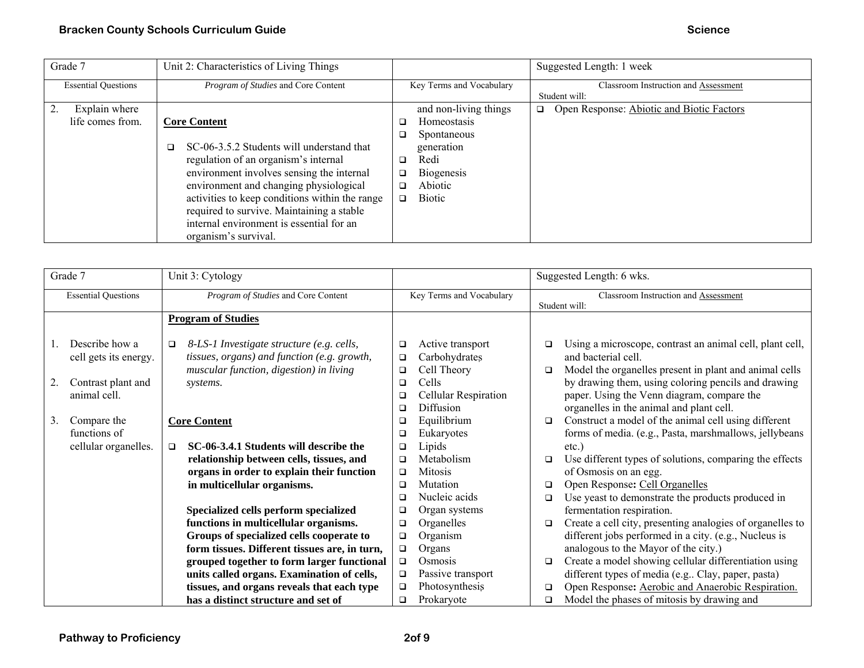| Grade 7                           | Unit 2: Characteristics of Living Things                                                                                                                                                                                                                                                                                                                                     |                                                                                                                                                                | Suggested Length: 1 week                              |
|-----------------------------------|------------------------------------------------------------------------------------------------------------------------------------------------------------------------------------------------------------------------------------------------------------------------------------------------------------------------------------------------------------------------------|----------------------------------------------------------------------------------------------------------------------------------------------------------------|-------------------------------------------------------|
| <b>Essential Questions</b>        | Program of Studies and Core Content                                                                                                                                                                                                                                                                                                                                          | Key Terms and Vocabulary                                                                                                                                       | Classroom Instruction and Assessment<br>Student will: |
| Explain where<br>life comes from. | <b>Core Content</b><br>SC-06-3.5.2 Students will understand that<br>$\Box$<br>regulation of an organism's internal<br>environment involves sensing the internal<br>environment and changing physiological<br>activities to keep conditions within the range<br>required to survive. Maintaining a stable<br>internal environment is essential for an<br>organism's survival. | and non-living things<br>Homeostasis<br>Spontaneous<br>o.<br>generation<br>Redi<br>$\Box$<br><b>Biogenesis</b><br>❏<br>Abiotic<br>□<br><b>Biotic</b><br>$\Box$ | Open Response: Abiotic and Biotic Factors<br>$\Box$   |

| Grade 7                                                                             | Unit 3: Cytology                                                                                                                                                         |                                                |                                                                                                |                  | Suggested Length: 6 wks.                                                                                                                                                                                                                                                                   |
|-------------------------------------------------------------------------------------|--------------------------------------------------------------------------------------------------------------------------------------------------------------------------|------------------------------------------------|------------------------------------------------------------------------------------------------|------------------|--------------------------------------------------------------------------------------------------------------------------------------------------------------------------------------------------------------------------------------------------------------------------------------------|
| <b>Essential Questions</b>                                                          | Program of Studies and Core Content                                                                                                                                      |                                                | Key Terms and Vocabulary                                                                       |                  | Classroom Instruction and Assessment<br>Student will:                                                                                                                                                                                                                                      |
|                                                                                     | <b>Program of Studies</b>                                                                                                                                                |                                                |                                                                                                |                  |                                                                                                                                                                                                                                                                                            |
| Describe how a<br>cell gets its energy.<br>Contrast plant and<br>2.<br>animal cell. | 8-LS-1 Investigate structure (e.g. cells,<br>$\Box$<br>tissues, organs) and function (e.g. growth,<br>muscular function, digestion) in living<br>systems.                | □<br>$\Box$<br>$\Box$<br>$\Box$<br>□<br>$\Box$ | Active transport<br>Carbohydrates<br>Cell Theory<br>Cells<br>Cellular Respiration<br>Diffusion | $\Box$<br>□      | Using a microscope, contrast an animal cell, plant cell,<br>and bacterial cell.<br>Model the organelles present in plant and animal cells<br>by drawing them, using coloring pencils and drawing<br>paper. Using the Venn diagram, compare the<br>organelles in the animal and plant cell. |
| Compare the<br>3.<br>functions of                                                   | <b>Core Content</b>                                                                                                                                                      | ❏<br>$\Box$                                    | Equilibrium<br>Eukaryotes                                                                      | $\Box$           | Construct a model of the animal cell using different<br>forms of media. (e.g., Pasta, marshmallows, jellybeans                                                                                                                                                                             |
| cellular organelles.                                                                | SC-06-3.4.1 Students will describe the<br>$\Box$<br>relationship between cells, tissues, and<br>organs in order to explain their function<br>in multicellular organisms. | $\Box$<br>$\Box$<br>$\Box$<br>$\Box$           | Lipids<br>Metabolism<br><b>Mitosis</b><br>Mutation                                             | $\Box$<br>$\Box$ | $etc.$ )<br>Use different types of solutions, comparing the effects<br>of Osmosis on an egg.<br>Open Response: Cell Organelles                                                                                                                                                             |
|                                                                                     | Specialized cells perform specialized                                                                                                                                    | $\Box$<br>$\Box$                               | Nucleic acids<br>Organ systems                                                                 | $\Box$           | Use yeast to demonstrate the products produced in<br>fermentation respiration.                                                                                                                                                                                                             |
|                                                                                     | functions in multicellular organisms.<br>Groups of specialized cells cooperate to<br>form tissues. Different tissues are, in turn,                                       | $\Box$<br>$\Box$<br>$\Box$                     | Organelles<br>Organism<br>Organs                                                               | $\Box$           | Create a cell city, presenting analogies of organelles to<br>different jobs performed in a city. (e.g., Nucleus is<br>analogous to the Mayor of the city.)                                                                                                                                 |
|                                                                                     | grouped together to form larger functional<br>units called organs. Examination of cells,<br>tissues, and organs reveals that each type                                   | $\Box$<br>$\Box$<br>$\Box$                     | Osmosis<br>Passive transport<br>Photosynthesis                                                 | $\Box$<br>$\Box$ | Create a model showing cellular differentiation using<br>different types of media (e.g., Clay, paper, pasta)<br>Open Response: Aerobic and Anaerobic Respiration.                                                                                                                          |
|                                                                                     | has a distinct structure and set of                                                                                                                                      | o.                                             | Prokaryote                                                                                     | $\Box$           | Model the phases of mitosis by drawing and                                                                                                                                                                                                                                                 |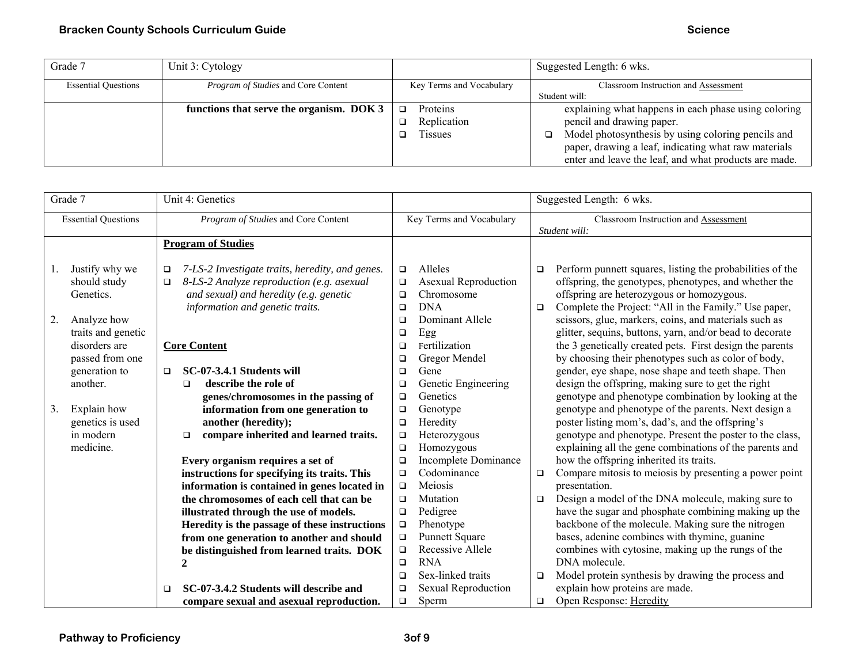| Grade 7                    | Unit 3: Cytology                           |                                      | Suggested Length: 6 wks.                                                                                                                                                  |
|----------------------------|--------------------------------------------|--------------------------------------|---------------------------------------------------------------------------------------------------------------------------------------------------------------------------|
| <b>Essential Questions</b> | <i>Program of Studies</i> and Core Content | Key Terms and Vocabulary             | Classroom Instruction and Assessment                                                                                                                                      |
|                            |                                            |                                      | Student will:                                                                                                                                                             |
|                            | functions that serve the organism. DOK 3   | <b>Proteins</b><br>o.<br>Replication | explaining what happens in each phase using coloring<br>pencil and drawing paper.                                                                                         |
|                            |                                            | <b>Tissues</b>                       | Model photosynthesis by using coloring pencils and<br>o.<br>paper, drawing a leaf, indicating what raw materials<br>enter and leave the leaf, and what products are made. |

|    | Grade 7                    |        | Unit 4: Genetics                                |        |                             |        | Suggested Length: 6 wks.                                  |
|----|----------------------------|--------|-------------------------------------------------|--------|-----------------------------|--------|-----------------------------------------------------------|
|    | <b>Essential Questions</b> |        | Program of Studies and Core Content             |        | Key Terms and Vocabulary    |        | Classroom Instruction and Assessment<br>Student will:     |
|    |                            |        | <b>Program of Studies</b>                       |        |                             |        |                                                           |
|    |                            |        |                                                 |        |                             |        |                                                           |
| 1. | Justify why we             | $\Box$ | 7-LS-2 Investigate traits, heredity, and genes. | $\Box$ | Alleles                     | $\Box$ | Perform punnett squares, listing the probabilities of the |
|    | should study               | $\Box$ | 8-LS-2 Analyze reproduction (e.g. asexual       | $\Box$ | <b>Asexual Reproduction</b> |        | offspring, the genotypes, phenotypes, and whether the     |
|    | Genetics.                  |        | and sexual) and heredity (e.g. genetic          | o.     | Chromosome                  |        | offspring are heterozygous or homozygous.                 |
|    |                            |        | information and genetic traits.                 | $\Box$ | <b>DNA</b>                  | $\Box$ | Complete the Project: "All in the Family." Use paper,     |
| 2. | Analyze how                |        |                                                 | $\Box$ | Dominant Allele             |        | scissors, glue, markers, coins, and materials such as     |
|    | traits and genetic         |        |                                                 | $\Box$ | Egg                         |        | glitter, sequins, buttons, yarn, and/or bead to decorate  |
|    | disorders are              |        | <b>Core Content</b>                             | $\Box$ | Fertilization               |        | the 3 genetically created pets. First design the parents  |
|    | passed from one            |        |                                                 | □      | Gregor Mendel               |        | by choosing their phenotypes such as color of body,       |
|    | generation to              | $\Box$ | SC-07-3.4.1 Students will                       | □      | Gene                        |        | gender, eye shape, nose shape and teeth shape. Then       |
|    | another.                   |        | describe the role of<br>$\Box$                  | □      | Genetic Engineering         |        | design the offspring, making sure to get the right        |
|    |                            |        | genes/chromosomes in the passing of             | $\Box$ | Genetics                    |        | genotype and phenotype combination by looking at the      |
| 3. | Explain how                |        | information from one generation to              | $\Box$ | Genotype                    |        | genotype and phenotype of the parents. Next design a      |
|    | genetics is used           |        | another (heredity);                             | $\Box$ | Heredity                    |        | poster listing mom's, dad's, and the offspring's          |
|    | in modern                  |        | compare inherited and learned traits.<br>$\Box$ | $\Box$ | Heterozygous                |        | genotype and phenotype. Present the poster to the class,  |
|    | medicine.                  |        |                                                 | $\Box$ | Homozygous                  |        | explaining all the gene combinations of the parents and   |
|    |                            |        | Every organism requires a set of                | $\Box$ | <b>Incomplete Dominance</b> |        | how the offspring inherited its traits.                   |
|    |                            |        | instructions for specifying its traits. This    | $\Box$ | Codominance                 | $\Box$ | Compare mitosis to meiosis by presenting a power point    |
|    |                            |        | information is contained in genes located in    | $\Box$ | Meiosis                     |        | presentation.                                             |
|    |                            |        | the chromosomes of each cell that can be        | $\Box$ | Mutation                    | $\Box$ | Design a model of the DNA molecule, making sure to        |
|    |                            |        | illustrated through the use of models.          | $\Box$ | Pedigree                    |        | have the sugar and phosphate combining making up the      |
|    |                            |        | Heredity is the passage of these instructions   | $\Box$ | Phenotype                   |        | backbone of the molecule. Making sure the nitrogen        |
|    |                            |        | from one generation to another and should       | o      | <b>Punnett Square</b>       |        | bases, adenine combines with thymine, guanine             |
|    |                            |        | be distinguished from learned traits. DOK       | $\Box$ | Recessive Allele            |        | combines with cytosine, making up the rungs of the        |
|    |                            |        |                                                 | $\Box$ | <b>RNA</b>                  |        | DNA molecule.                                             |
|    |                            |        |                                                 | $\Box$ | Sex-linked traits           | $\Box$ | Model protein synthesis by drawing the process and        |
|    |                            | $\Box$ | SC-07-3.4.2 Students will describe and          | $\Box$ | <b>Sexual Reproduction</b>  |        | explain how proteins are made.                            |
|    |                            |        | compare sexual and asexual reproduction.        | $\Box$ | Sperm                       | $\Box$ | Open Response: Heredity                                   |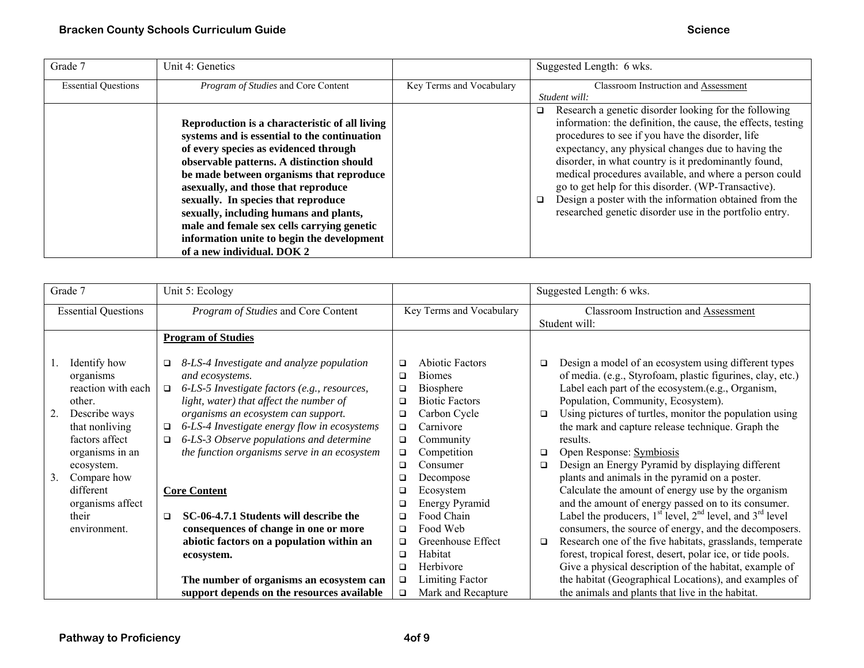| Grade 7                    | Unit 4: Genetics                               |                          | Suggested Length: 6 wks.                                         |
|----------------------------|------------------------------------------------|--------------------------|------------------------------------------------------------------|
| <b>Essential Questions</b> | Program of Studies and Core Content            | Key Terms and Vocabulary | Classroom Instruction and Assessment                             |
|                            |                                                |                          | Student will:                                                    |
|                            |                                                |                          | Research a genetic disorder looking for the following<br>□       |
|                            | Reproduction is a characteristic of all living |                          | information: the definition, the cause, the effects, testing     |
|                            | systems and is essential to the continuation   |                          | procedures to see if you have the disorder, life                 |
|                            | of every species as evidenced through          |                          | expectancy, any physical changes due to having the               |
|                            | observable patterns. A distinction should      |                          | disorder, in what country is it predominantly found,             |
|                            | be made between organisms that reproduce       |                          | medical procedures available, and where a person could           |
|                            | asexually, and those that reproduce            |                          | go to get help for this disorder. (WP-Transactive).              |
|                            | sexually. In species that reproduce            |                          | Design a poster with the information obtained from the<br>$\Box$ |
|                            | sexually, including humans and plants,         |                          | researched genetic disorder use in the portfolio entry.          |
|                            | male and female sex cells carrying genetic     |                          |                                                                  |
|                            | information unite to begin the development     |                          |                                                                  |
|                            | of a new individual. DOK 2                     |                          |                                                                  |

| Suggested Length: 6 wks.                                                                                                                                                                                                                                                                                                                                                                                                                                                                                                                                                                                                                                                                                                                                                                                                                                                                                                                                                                                             |
|----------------------------------------------------------------------------------------------------------------------------------------------------------------------------------------------------------------------------------------------------------------------------------------------------------------------------------------------------------------------------------------------------------------------------------------------------------------------------------------------------------------------------------------------------------------------------------------------------------------------------------------------------------------------------------------------------------------------------------------------------------------------------------------------------------------------------------------------------------------------------------------------------------------------------------------------------------------------------------------------------------------------|
| <b>Classroom Instruction and Assessment</b><br>Student will:                                                                                                                                                                                                                                                                                                                                                                                                                                                                                                                                                                                                                                                                                                                                                                                                                                                                                                                                                         |
|                                                                                                                                                                                                                                                                                                                                                                                                                                                                                                                                                                                                                                                                                                                                                                                                                                                                                                                                                                                                                      |
| Design a model of an ecosystem using different types<br>of media. (e.g., Styrofoam, plastic figurines, clay, etc.)<br>Label each part of the ecosystem.(e.g., Organism,<br>Population, Community, Ecosystem).<br>Using pictures of turtles, monitor the population using<br>the mark and capture release technique. Graph the<br>results.<br>Open Response: Symbiosis<br>Design an Energy Pyramid by displaying different<br>plants and animals in the pyramid on a poster.<br>Calculate the amount of energy use by the organism<br>and the amount of energy passed on to its consumer.<br>Label the producers, $1st$ level, $2nd$ level, and $3rd$ level<br>consumers, the source of energy, and the decomposers.<br>Research one of the five habitats, grasslands, temperate<br>forest, tropical forest, desert, polar ice, or tide pools.<br>Give a physical description of the habitat, example of<br>the habitat (Geographical Locations), and examples of<br>the animals and plants that live in the habitat. |
|                                                                                                                                                                                                                                                                                                                                                                                                                                                                                                                                                                                                                                                                                                                                                                                                                                                                                                                                                                                                                      |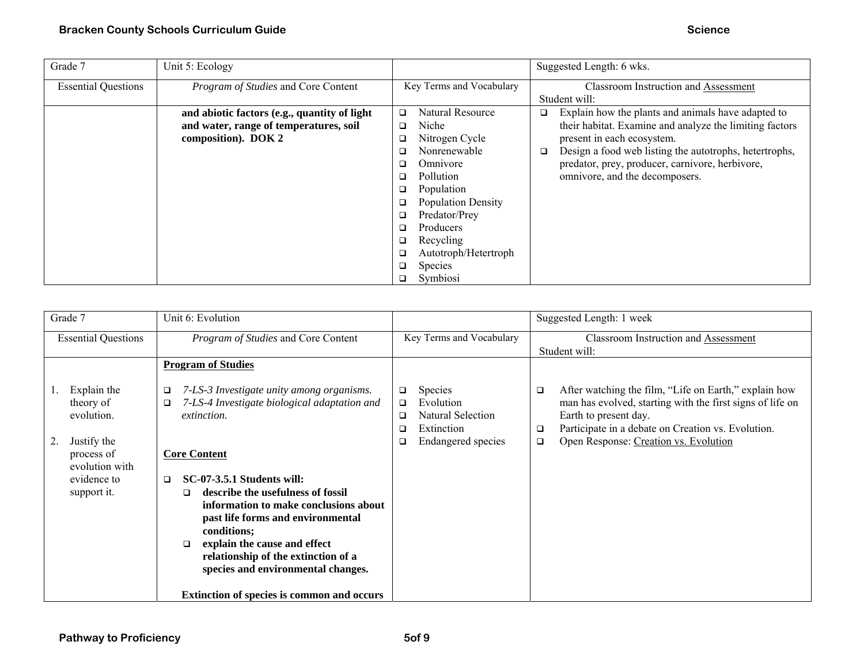| Grade 7                    | Unit 5: Ecology                              |                            | Suggested Length: 6 wks.                                    |
|----------------------------|----------------------------------------------|----------------------------|-------------------------------------------------------------|
| <b>Essential Questions</b> | Program of Studies and Core Content          | Key Terms and Vocabulary   | <b>Classroom Instruction and Assessment</b>                 |
|                            |                                              |                            | Student will:                                               |
|                            | and abiotic factors (e.g., quantity of light | Natural Resource<br>$\Box$ | Explain how the plants and animals have adapted to<br>❏     |
|                            | and water, range of temperatures, soil       | Niche<br>$\Box$            | their habitat. Examine and analyze the limiting factors     |
|                            | composition). DOK 2                          | Nitrogen Cycle<br>❏        | present in each ecosystem.                                  |
|                            |                                              | Nonrenewable<br>◻          | Design a food web listing the autotrophs, hetertrophs,<br>□ |
|                            |                                              | Omnivore<br>◻              | predator, prey, producer, carnivore, herbivore,             |
|                            |                                              | Pollution<br>□             | omnivore, and the decomposers.                              |
|                            |                                              | Population<br>❏            |                                                             |
|                            |                                              | <b>Population Density</b>  |                                                             |
|                            |                                              | Predator/Prey<br>□         |                                                             |
|                            |                                              | Producers<br>□             |                                                             |
|                            |                                              | Recycling<br>□             |                                                             |
|                            |                                              | Autotroph/Hetertroph       |                                                             |
|                            |                                              | Species<br>$\Box$          |                                                             |
|                            |                                              | Symbiosi<br>❏              |                                                             |

| Grade 7                                                                                                             | Unit 6: Evolution                                                                                                                                                                                                                                                                                                                                                                                                                                      |                                                                                                                      | Suggested Length: 1 week                                                                                                                                                                                                                                            |
|---------------------------------------------------------------------------------------------------------------------|--------------------------------------------------------------------------------------------------------------------------------------------------------------------------------------------------------------------------------------------------------------------------------------------------------------------------------------------------------------------------------------------------------------------------------------------------------|----------------------------------------------------------------------------------------------------------------------|---------------------------------------------------------------------------------------------------------------------------------------------------------------------------------------------------------------------------------------------------------------------|
| <b>Essential Questions</b>                                                                                          | Program of Studies and Core Content                                                                                                                                                                                                                                                                                                                                                                                                                    | Key Terms and Vocabulary                                                                                             | <b>Classroom Instruction and Assessment</b><br>Student will:                                                                                                                                                                                                        |
|                                                                                                                     | <b>Program of Studies</b>                                                                                                                                                                                                                                                                                                                                                                                                                              |                                                                                                                      |                                                                                                                                                                                                                                                                     |
| Explain the<br>theory of<br>evolution.<br>Justify the<br>process of<br>evolution with<br>evidence to<br>support it. | 7-LS-3 Investigate unity among organisms.<br>❏<br>7-LS-4 Investigate biological adaptation and<br>□<br><i>extinction.</i><br><b>Core Content</b><br>SC-07-3.5.1 Students will:<br>▫<br>describe the usefulness of fossil<br>$\Box$<br>information to make conclusions about<br>past life forms and environmental<br>conditions;<br>explain the cause and effect<br>$\Box$<br>relationship of the extinction of a<br>species and environmental changes. | <b>Species</b><br>□<br>Evolution<br>$\Box$<br>Natural Selection<br>□<br>Extinction<br>□<br><b>Endangered species</b> | After watching the film, "Life on Earth," explain how<br>$\Box$<br>man has evolved, starting with the first signs of life on<br>Earth to present day.<br>Participate in a debate on Creation vs. Evolution.<br>□<br>Open Response: Creation vs. Evolution<br>$\Box$ |
|                                                                                                                     | <b>Extinction of species is common and occurs</b>                                                                                                                                                                                                                                                                                                                                                                                                      |                                                                                                                      |                                                                                                                                                                                                                                                                     |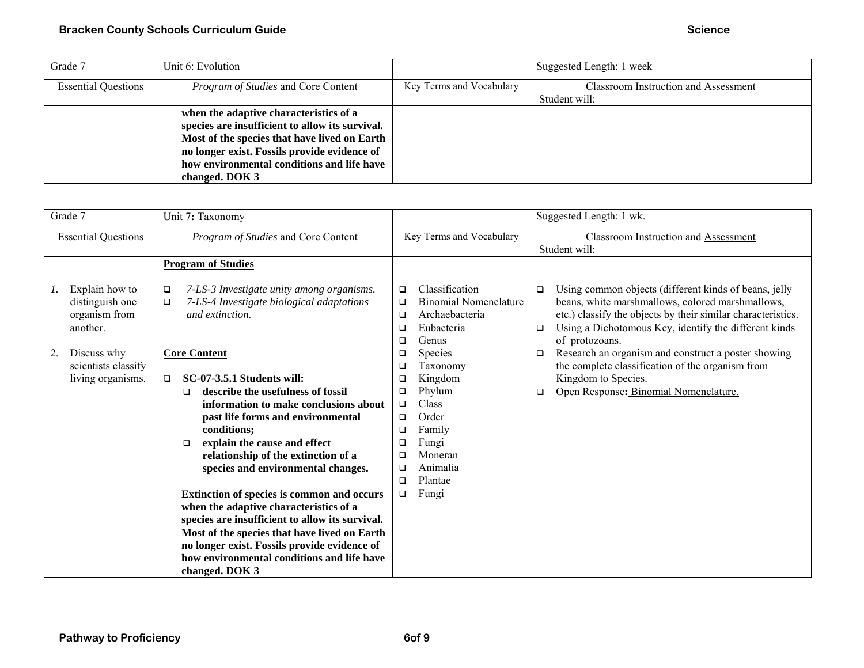| Grade 7                    | Unit 6: Evolution                               |                          | Suggested Length: 1 week             |
|----------------------------|-------------------------------------------------|--------------------------|--------------------------------------|
| <b>Essential Questions</b> | <i>Program of Studies</i> and Core Content      | Key Terms and Vocabulary | Classroom Instruction and Assessment |
|                            |                                                 |                          | Student will:                        |
|                            | when the adaptive characteristics of a          |                          |                                      |
|                            | species are insufficient to allow its survival. |                          |                                      |
|                            | Most of the species that have lived on Earth    |                          |                                      |
|                            | no longer exist. Fossils provide evidence of    |                          |                                      |
|                            | how environmental conditions and life have      |                          |                                      |
|                            | changed. DOK 3                                  |                          |                                      |

| Grade 7                                                                                                                               | Unit 7: Taxonomy                                                                                                                                                                                                                                                                                                                                                                                                                                                                                                                                                                                                                                                                                                                                                   |                                                                                                                                                                                                                                                                                                                                                       | Suggested Length: 1 wk.                                                                                                                                                                                                                                                                                                                                                                                                                                       |
|---------------------------------------------------------------------------------------------------------------------------------------|--------------------------------------------------------------------------------------------------------------------------------------------------------------------------------------------------------------------------------------------------------------------------------------------------------------------------------------------------------------------------------------------------------------------------------------------------------------------------------------------------------------------------------------------------------------------------------------------------------------------------------------------------------------------------------------------------------------------------------------------------------------------|-------------------------------------------------------------------------------------------------------------------------------------------------------------------------------------------------------------------------------------------------------------------------------------------------------------------------------------------------------|---------------------------------------------------------------------------------------------------------------------------------------------------------------------------------------------------------------------------------------------------------------------------------------------------------------------------------------------------------------------------------------------------------------------------------------------------------------|
| <b>Essential Questions</b>                                                                                                            | Program of Studies and Core Content                                                                                                                                                                                                                                                                                                                                                                                                                                                                                                                                                                                                                                                                                                                                | Key Terms and Vocabulary                                                                                                                                                                                                                                                                                                                              | <b>Classroom Instruction and Assessment</b><br>Student will:                                                                                                                                                                                                                                                                                                                                                                                                  |
|                                                                                                                                       | <b>Program of Studies</b>                                                                                                                                                                                                                                                                                                                                                                                                                                                                                                                                                                                                                                                                                                                                          |                                                                                                                                                                                                                                                                                                                                                       |                                                                                                                                                                                                                                                                                                                                                                                                                                                               |
| Explain how to<br>1.<br>distinguish one<br>organism from<br>another.<br>Discuss why<br>2.<br>scientists classify<br>living organisms. | 7-LS-3 Investigate unity among organisms.<br>$\Box$<br>7-LS-4 Investigate biological adaptations<br>❏<br>and extinction.<br><b>Core Content</b><br><b>SC-07-3.5.1 Students will:</b><br>$\Box$<br>describe the usefulness of fossil<br>□<br>information to make conclusions about<br>past life forms and environmental<br>conditions;<br>explain the cause and effect<br>□<br>relationship of the extinction of a<br>species and environmental changes.<br>Extinction of species is common and occurs<br>when the adaptive characteristics of a<br>species are insufficient to allow its survival.<br>Most of the species that have lived on Earth<br>no longer exist. Fossils provide evidence of<br>how environmental conditions and life have<br>changed. DOK 3 | Classification<br>$\Box$<br><b>Binomial Nomenclature</b><br>$\Box$<br>Archaebacteria<br>$\Box$<br>Eubacteria<br>□<br>Genus<br>❏<br>Species<br>$\Box$<br>Taxonomy<br>□<br>Kingdom<br>□<br>Phylum<br>❏<br>Class<br>$\Box$<br>Order<br>$\Box$<br>Family<br>❏<br>Fungi<br>❏<br>Moneran<br>$\Box$<br>Animalia<br>$\Box$<br>Plantae<br>□<br>Fungi<br>$\Box$ | Using common objects (different kinds of beans, jelly<br>□<br>beans, white marshmallows, colored marshmallows,<br>etc.) classify the objects by their similar characteristics.<br>Using a Dichotomous Key, identify the different kinds<br>$\Box$<br>of protozoans.<br>Research an organism and construct a poster showing<br>$\Box$<br>the complete classification of the organism from<br>Kingdom to Species.<br>Open Response: Binomial Nomenclature.<br>❏ |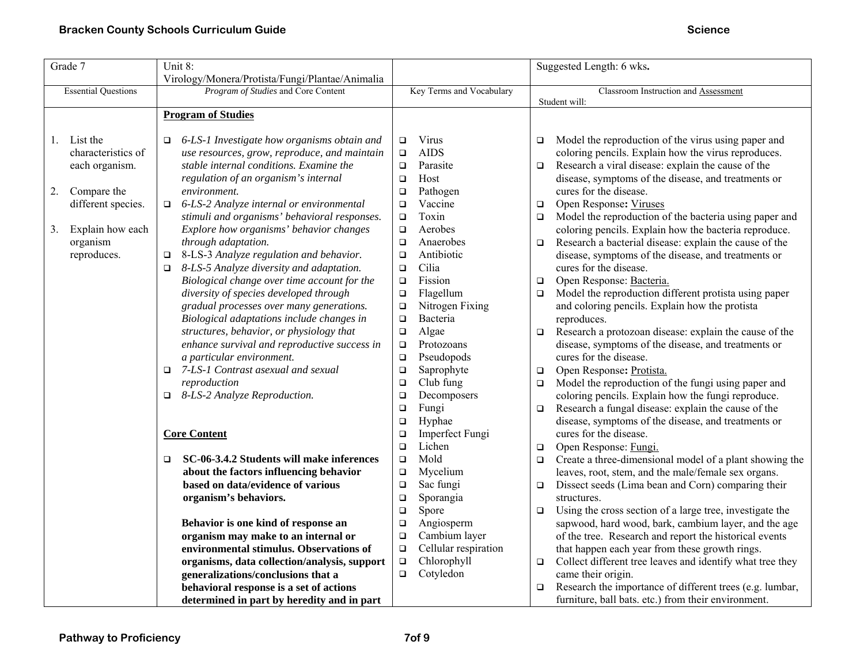| Grade 7                    | Unit 8:                                             |                                | Suggested Length: 6 wks.                                            |
|----------------------------|-----------------------------------------------------|--------------------------------|---------------------------------------------------------------------|
|                            | Virology/Monera/Protista/Fungi/Plantae/Animalia     |                                |                                                                     |
| <b>Essential Questions</b> | Program of Studies and Core Content                 | Key Terms and Vocabulary       | Classroom Instruction and Assessment                                |
|                            |                                                     |                                | Student will:                                                       |
|                            | <b>Program of Studies</b>                           |                                |                                                                     |
| List the<br>1.             | $\Box$ 6-LS-1 Investigate how organisms obtain and  | Virus<br>$\Box$                | Model the reproduction of the virus using paper and<br>$\Box$       |
| characteristics of         | use resources, grow, reproduce, and maintain        | <b>AIDS</b><br>$\Box$          | coloring pencils. Explain how the virus reproduces.                 |
| each organism.             | stable internal conditions. Examine the             | Parasite<br>$\Box$             | Research a viral disease: explain the cause of the<br>$\Box$        |
|                            | regulation of an organism's internal                | Host<br>$\Box$                 | disease, symptoms of the disease, and treatments or                 |
| Compare the<br>2.          | environment.                                        | Pathogen<br>$\Box$             | cures for the disease.                                              |
| different species.         | $\Box$ 6-LS-2 Analyze internal or environmental     | Vaccine<br>$\Box$              | Open Response: Viruses<br>$\Box$                                    |
|                            | stimuli and organisms' behavioral responses.        | Toxin<br>$\Box$                | Model the reproduction of the bacteria using paper and<br>$\Box$    |
| Explain how each<br>3.     | Explore how organisms' behavior changes             | Aerobes<br>$\Box$              | coloring pencils. Explain how the bacteria reproduce.               |
| organism                   | through adaptation.                                 | Anaerobes<br>$\Box$            | Research a bacterial disease: explain the cause of the<br>$\Box$    |
| reproduces.                | $\Box$ 8-LS-3 Analyze regulation and behavior.      | Antibiotic<br>$\Box$           | disease, symptoms of the disease, and treatments or                 |
|                            | $\Box$ 8-LS-5 Analyze diversity and adaptation.     | Cilia<br>$\Box$                | cures for the disease.                                              |
|                            | Biological change over time account for the         | Fission<br>$\Box$              | Open Response: Bacteria.<br>$\Box$                                  |
|                            | diversity of species developed through              | Flagellum<br>$\Box$            | Model the reproduction different protista using paper<br>$\Box$     |
|                            | gradual processes over many generations.            | Nitrogen Fixing<br>$\Box$      | and coloring pencils. Explain how the protista                      |
|                            | Biological adaptations include changes in           | Bacteria<br>$\Box$             | reproduces.                                                         |
|                            | structures, behavior, or physiology that            | Algae<br>$\Box$                | Research a protozoan disease: explain the cause of the<br>$\Box$    |
|                            | enhance survival and reproductive success in        | Protozoans<br>$\Box$           | disease, symptoms of the disease, and treatments or                 |
|                            | a particular environment.                           | Pseudopods<br>$\Box$           | cures for the disease.                                              |
|                            | $\Box$ 7-LS-1 Contrast asexual and sexual           | Saprophyte<br>$\Box$           | Open Response: Protista.<br>$\Box$                                  |
|                            | reproduction                                        | Club fung<br>$\Box$            | Model the reproduction of the fungi using paper and<br>$\Box$       |
|                            | $\Box$ 8-LS-2 Analyze Reproduction.                 | Decomposers<br>$\Box$          | coloring pencils. Explain how the fungi reproduce.                  |
|                            |                                                     | Fungi<br>$\Box$                | Research a fungal disease: explain the cause of the<br>$\Box$       |
|                            |                                                     | Hyphae<br>$\Box$               | disease, symptoms of the disease, and treatments or                 |
|                            | <b>Core Content</b>                                 | Imperfect Fungi<br>$\Box$      | cures for the disease.                                              |
|                            |                                                     | Lichen<br>$\Box$               | Open Response: Fungi.<br>$\Box$                                     |
|                            | SC-06-3.4.2 Students will make inferences<br>$\Box$ | Mold<br>$\Box$                 | Create a three-dimensional model of a plant showing the<br>$\Box$   |
|                            | about the factors influencing behavior              | Mycelium<br>$\Box$             | leaves, root, stem, and the male/female sex organs.                 |
|                            | based on data/evidence of various                   | Sac fungi<br>$\Box$            | Dissect seeds (Lima bean and Corn) comparing their<br>$\Box$        |
|                            | organism's behaviors.                               | Sporangia<br>$\Box$            | structures.                                                         |
|                            |                                                     | $\Box$<br>Spore                | Using the cross section of a large tree, investigate the<br>$\Box$  |
|                            | Behavior is one kind of response an                 | Angiosperm<br>$\Box$           | sapwood, hard wood, bark, cambium layer, and the age                |
|                            | organism may make to an internal or                 | Cambium layer<br>$\Box$        | of the tree. Research and report the historical events              |
|                            | environmental stimulus. Observations of             | Cellular respiration<br>$\Box$ | that happen each year from these growth rings.                      |
|                            | organisms, data collection/analysis, support        | Chlorophyll<br>$\Box$          | Collect different tree leaves and identify what tree they<br>$\Box$ |
|                            | generalizations/conclusions that a                  | Cotyledon<br>$\Box$            | came their origin.                                                  |
|                            | behavioral response is a set of actions             |                                | Research the importance of different trees (e.g. lumbar,<br>$\Box$  |
|                            | determined in part by heredity and in part          |                                | furniture, ball bats. etc.) from their environment.                 |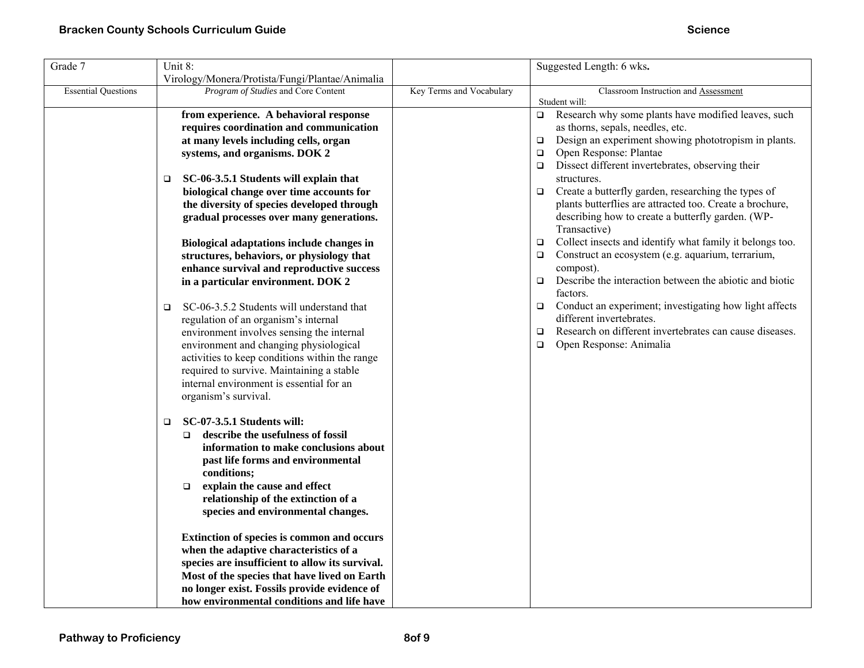| Grade 7                    | Unit 8:<br>Virology/Monera/Protista/Fungi/Plantae/Animalia                                                                                                                                                                                                                                                                                                                                                                                                                                                                                                                                                                                                                                                                                                                                                                                                                    |                          | Suggested Length: 6 wks.                                                                                                                                                                                                                                                                                                                                                                                                                                                                                                                                                                                                                                                                                                                                                                                                                                                                                |
|----------------------------|-------------------------------------------------------------------------------------------------------------------------------------------------------------------------------------------------------------------------------------------------------------------------------------------------------------------------------------------------------------------------------------------------------------------------------------------------------------------------------------------------------------------------------------------------------------------------------------------------------------------------------------------------------------------------------------------------------------------------------------------------------------------------------------------------------------------------------------------------------------------------------|--------------------------|---------------------------------------------------------------------------------------------------------------------------------------------------------------------------------------------------------------------------------------------------------------------------------------------------------------------------------------------------------------------------------------------------------------------------------------------------------------------------------------------------------------------------------------------------------------------------------------------------------------------------------------------------------------------------------------------------------------------------------------------------------------------------------------------------------------------------------------------------------------------------------------------------------|
| <b>Essential Questions</b> | Program of Studies and Core Content                                                                                                                                                                                                                                                                                                                                                                                                                                                                                                                                                                                                                                                                                                                                                                                                                                           | Key Terms and Vocabulary | Classroom Instruction and Assessment                                                                                                                                                                                                                                                                                                                                                                                                                                                                                                                                                                                                                                                                                                                                                                                                                                                                    |
|                            | from experience. A behavioral response<br>requires coordination and communication<br>at many levels including cells, organ<br>systems, and organisms. DOK 2<br>SC-06-3.5.1 Students will explain that<br>biological change over time accounts for<br>the diversity of species developed through<br>gradual processes over many generations.<br>Biological adaptations include changes in<br>structures, behaviors, or physiology that<br>enhance survival and reproductive success<br>in a particular environment. DOK 2<br>SC-06-3.5.2 Students will understand that<br>O.<br>regulation of an organism's internal<br>environment involves sensing the internal<br>environment and changing physiological<br>activities to keep conditions within the range<br>required to survive. Maintaining a stable<br>internal environment is essential for an<br>organism's survival. |                          | Student will:<br>Research why some plants have modified leaves, such<br>$\Box$<br>as thorns, sepals, needles, etc.<br>Design an experiment showing phototropism in plants.<br>$\Box$<br>Open Response: Plantae<br>□<br>Dissect different invertebrates, observing their<br>structures.<br>Create a butterfly garden, researching the types of<br>$\Box$<br>plants butterflies are attracted too. Create a brochure,<br>describing how to create a butterfly garden. (WP-<br>Transactive)<br>Collect insects and identify what family it belongs too.<br>□<br>Construct an ecosystem (e.g. aquarium, terrarium,<br>compost).<br>Describe the interaction between the abiotic and biotic<br>factors.<br>Conduct an experiment; investigating how light affects<br>$\Box$<br>different invertebrates.<br>Research on different invertebrates can cause diseases.<br>□<br>Open Response: Animalia<br>$\Box$ |
|                            | SC-07-3.5.1 Students will:<br>$\Box$<br>describe the usefulness of fossil<br>$\Box$<br>information to make conclusions about<br>past life forms and environmental<br>conditions;<br>explain the cause and effect<br>$\Box$<br>relationship of the extinction of a<br>species and environmental changes.<br>Extinction of species is common and occurs<br>when the adaptive characteristics of a                                                                                                                                                                                                                                                                                                                                                                                                                                                                               |                          |                                                                                                                                                                                                                                                                                                                                                                                                                                                                                                                                                                                                                                                                                                                                                                                                                                                                                                         |
|                            | species are insufficient to allow its survival.<br>Most of the species that have lived on Earth<br>no longer exist. Fossils provide evidence of<br>how environmental conditions and life have                                                                                                                                                                                                                                                                                                                                                                                                                                                                                                                                                                                                                                                                                 |                          |                                                                                                                                                                                                                                                                                                                                                                                                                                                                                                                                                                                                                                                                                                                                                                                                                                                                                                         |